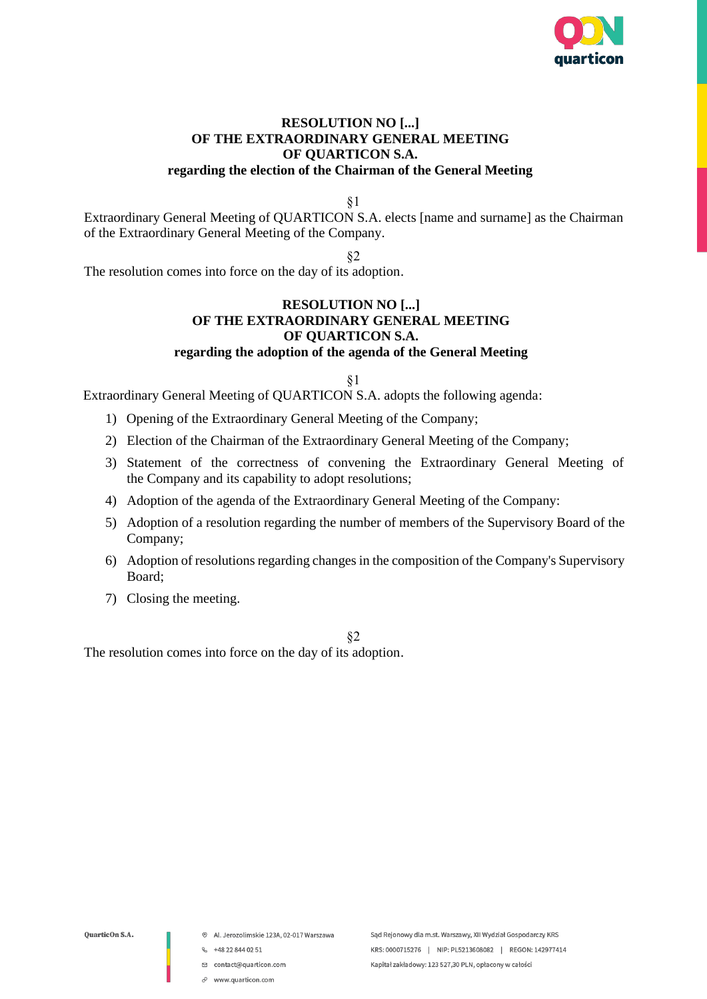

### **RESOLUTION NO [...] OF THE EXTRAORDINARY GENERAL MEETING OF QUARTICON S.A. regarding the election of the Chairman of the General Meeting**

§1

Extraordinary General Meeting of QUARTICON S.A. elects [name and surname] as the Chairman of the Extraordinary General Meeting of the Company.

§2

The resolution comes into force on the day of its adoption.

### **RESOLUTION NO [...] OF THE EXTRAORDINARY GENERAL MEETING OF QUARTICON S.A. regarding the adoption of the agenda of the General Meeting**

§1

Extraordinary General Meeting of QUARTICON S.A. adopts the following agenda:

- 1) Opening of the Extraordinary General Meeting of the Company;
- 2) Election of the Chairman of the Extraordinary General Meeting of the Company;
- 3) Statement of the correctness of convening the Extraordinary General Meeting of the Company and its capability to adopt resolutions;
- 4) Adoption of the agenda of the Extraordinary General Meeting of the Company:
- 5) Adoption of a resolution regarding the number of members of the Supervisory Board of the Company;
- 6) Adoption of resolutions regarding changes in the composition of the Company's Supervisory Board;
- 7) Closing the meeting.

§2

The resolution comes into force on the day of its adoption.

- <sup>®</sup> Al. Jerozolimskie 123A, 02-017 Warszawa
- $\frac{1}{2}$  +48 22 844 02 51
- □ contact@quarticon.com
- $\mathcal O$  www.quarticon.com